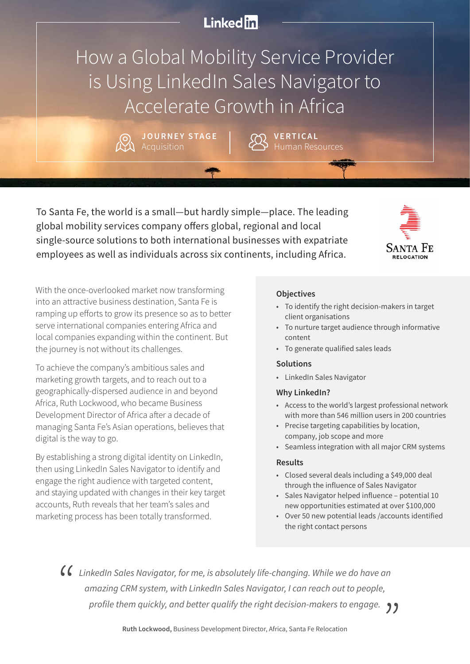## **Linked** in

How a Global Mobility Service Provider is Using LinkedIn Sales Navigator to Accelerate Growth in Africa

> **JOURNEY STAGE** Acquisition

Human Resources **VERTICAL**

To Santa Fe, the world is a small—but hardly simple—place. The leading global mobility services company offers global, regional and local single-source solutions to both international businesses with expatriate employees as well as individuals across six continents, including Africa.



With the once-overlooked market now transforming into an attractive business destination, Santa Fe is ramping up efforts to grow its presence so as to better serve international companies entering Africa and local companies expanding within the continent. But the journey is not without its challenges.

To achieve the company's ambitious sales and marketing growth targets, and to reach out to a geographically-dispersed audience in and beyond Africa, Ruth Lockwood, who became Business Development Director of Africa after a decade of managing Santa Fe's Asian operations, believes that digital is the way to go.

By establishing a strong digital identity on LinkedIn, then using LinkedIn Sales Navigator to identify and engage the right audience with targeted content, and staying updated with changes in their key target accounts, Ruth reveals that her team's sales and marketing process has been totally transformed.

### **Objectives**

- To identify the right decision-makers in target client organisations
- To nurture target audience through informative content
- To generate qualified sales leads

#### **Solutions**

• LinkedIn Sales Navigator

#### **Why LinkedIn?**

- Access to the world's largest professional network with more than 546 million users in 200 countries
- Precise targeting capabilities by location, company, job scope and more
- Seamless integration with all major CRM systems

#### **Results**

- Closed several deals including a \$49,000 deal through the influence of Sales Navigator
- Sales Navigator helped influence potential 10 new opportunities estimated at over \$100,000
- Over 50 new potential leads /accounts identified the right contact persons

*LinkedIn Sales Navigator, for me, is absolutely life-changing. While we do have an amazing CRM system, with LinkedIn Sales Navigator, I can reach out to people, profile them quickly, and better qualify the right decision-makers to engage.*